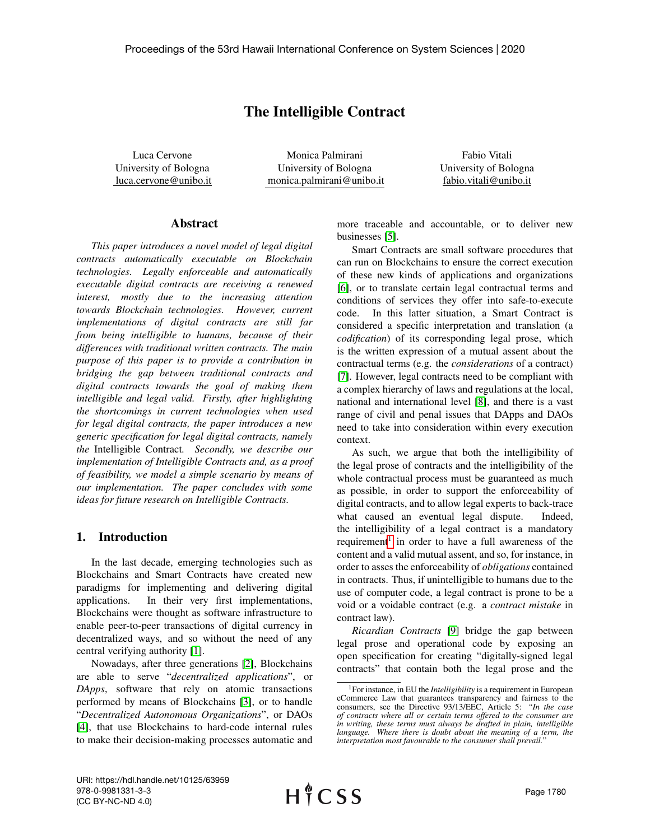# The Intelligible Contract

Luca Cervone University of Bologna luca.cervone@unibo.it

Monica Palmirani University of Bologna monica.palmirani@unibo.it

Fabio Vitali University of Bologna fabio.vitali@unibo.it

### Abstract

*This paper introduces a novel model of legal digital contracts automatically executable on Blockchain technologies. Legally enforceable and automatically executable digital contracts are receiving a renewed interest, mostly due to the increasing attention towards Blockchain technologies. However, current implementations of digital contracts are still far from being intelligible to humans, because of their differences with traditional written contracts. The main purpose of this paper is to provide a contribution in bridging the gap between traditional contracts and digital contracts towards the goal of making them intelligible and legal valid. Firstly, after highlighting the shortcomings in current technologies when used for legal digital contracts, the paper introduces a new generic specification for legal digital contracts, namely the* Intelligible Contract*. Secondly, we describe our implementation of Intelligible Contracts and, as a proof of feasibility, we model a simple scenario by means of our implementation. The paper concludes with some ideas for future research on Intelligible Contracts.*

# 1. Introduction

In the last decade, emerging technologies such as Blockchains and Smart Contracts have created new paradigms for implementing and delivering digital applications. In their very first implementations, Blockchains were thought as software infrastructure to enable peer-to-peer transactions of digital currency in decentralized ways, and so without the need of any central verifying authority [\[1\]](#page-8-0).

Nowadays, after three generations [\[2\]](#page-8-1), Blockchains are able to serve "*decentralized applications*", or *DApps*, software that rely on atomic transactions performed by means of Blockchains [\[3\]](#page-8-2), or to handle "*Decentralized Autonomous Organizations*", or DAOs [\[4\]](#page-8-3), that use Blockchains to hard-code internal rules to make their decision-making processes automatic and more traceable and accountable, or to deliver new businesses [\[5\]](#page-8-4).

Smart Contracts are small software procedures that can run on Blockchains to ensure the correct execution of these new kinds of applications and organizations [\[6\]](#page-8-5), or to translate certain legal contractual terms and conditions of services they offer into safe-to-execute code. In this latter situation, a Smart Contract is considered a specific interpretation and translation (a *codification*) of its corresponding legal prose, which is the written expression of a mutual assent about the contractual terms (e.g. the *considerations* of a contract) [\[7\]](#page-9-0). However, legal contracts need to be compliant with a complex hierarchy of laws and regulations at the local, national and international level [\[8\]](#page-9-1), and there is a vast range of civil and penal issues that DApps and DAOs need to take into consideration within every execution context.

As such, we argue that both the intelligibility of the legal prose of contracts and the intelligibility of the whole contractual process must be guaranteed as much as possible, in order to support the enforceability of digital contracts, and to allow legal experts to back-trace what caused an eventual legal dispute. Indeed, the intelligibility of a legal contract is a mandatory requirement<sup>[1](#page-0-0)</sup> in order to have a full awareness of the content and a valid mutual assent, and so, for instance, in order to asses the enforceability of *obligations* contained in contracts. Thus, if unintelligible to humans due to the use of computer code, a legal contract is prone to be a void or a voidable contract (e.g. a *contract mistake* in contract law).

*Ricardian Contracts* [\[9\]](#page-9-2) bridge the gap between legal prose and operational code by exposing an open specification for creating "digitally-signed legal contracts" that contain both the legal prose and the

<span id="page-0-0"></span><sup>&</sup>lt;sup>1</sup>For instance, in EU the *Intelligibility* is a requirement in European eCommerce Law that guarantees transparency and fairness to the consumers, see the Directive 93/13/EEC, Article 5: *"In the case of contracts where all or certain terms offered to the consumer are in writing, these terms must always be drafted in plain, intelligible language. Where there is doubt about the meaning of a term, the interpretation most favourable to the consumer shall prevail.*"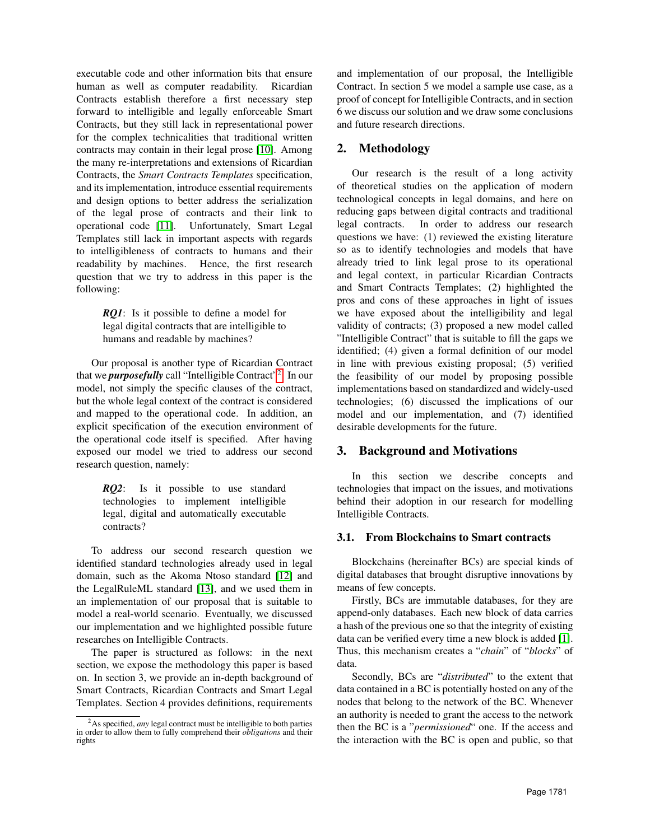executable code and other information bits that ensure human as well as computer readability. Ricardian Contracts establish therefore a first necessary step forward to intelligible and legally enforceable Smart Contracts, but they still lack in representational power for the complex technicalities that traditional written contracts may contain in their legal prose [\[10\]](#page-9-3). Among the many re-interpretations and extensions of Ricardian Contracts, the *Smart Contracts Templates* specification, and its implementation, introduce essential requirements and design options to better address the serialization of the legal prose of contracts and their link to operational code [\[11\]](#page-9-4). Unfortunately, Smart Legal Templates still lack in important aspects with regards to intelligibleness of contracts to humans and their readability by machines. Hence, the first research question that we try to address in this paper is the following:

> *RQ1*: Is it possible to define a model for legal digital contracts that are intelligible to humans and readable by machines?

Our proposal is another type of Ricardian Contract that we *purposefully* call "Intelligible Contract"[2](#page-1-0) . In our model, not simply the specific clauses of the contract, but the whole legal context of the contract is considered and mapped to the operational code. In addition, an explicit specification of the execution environment of the operational code itself is specified. After having exposed our model we tried to address our second research question, namely:

> *RQ2*: Is it possible to use standard technologies to implement intelligible legal, digital and automatically executable contracts?

To address our second research question we identified standard technologies already used in legal domain, such as the Akoma Ntoso standard [\[12\]](#page-9-5) and the LegalRuleML standard [\[13\]](#page-9-6), and we used them in an implementation of our proposal that is suitable to model a real-world scenario. Eventually, we discussed our implementation and we highlighted possible future researches on Intelligible Contracts.

The paper is structured as follows: in the next section, we expose the methodology this paper is based on. In section 3, we provide an in-depth background of Smart Contracts, Ricardian Contracts and Smart Legal Templates. Section 4 provides definitions, requirements and implementation of our proposal, the Intelligible Contract. In section 5 we model a sample use case, as a proof of concept for Intelligible Contracts, and in section 6 we discuss our solution and we draw some conclusions and future research directions.

# 2. Methodology

Our research is the result of a long activity of theoretical studies on the application of modern technological concepts in legal domains, and here on reducing gaps between digital contracts and traditional legal contracts. In order to address our research questions we have: (1) reviewed the existing literature so as to identify technologies and models that have already tried to link legal prose to its operational and legal context, in particular Ricardian Contracts and Smart Contracts Templates; (2) highlighted the pros and cons of these approaches in light of issues we have exposed about the intelligibility and legal validity of contracts; (3) proposed a new model called "Intelligible Contract" that is suitable to fill the gaps we identified; (4) given a formal definition of our model in line with previous existing proposal; (5) verified the feasibility of our model by proposing possible implementations based on standardized and widely-used technologies; (6) discussed the implications of our model and our implementation, and (7) identified desirable developments for the future.

# 3. Background and Motivations

In this section we describe concepts and technologies that impact on the issues, and motivations behind their adoption in our research for modelling Intelligible Contracts.

# 3.1. From Blockchains to Smart contracts

Blockchains (hereinafter BCs) are special kinds of digital databases that brought disruptive innovations by means of few concepts.

Firstly, BCs are immutable databases, for they are append-only databases. Each new block of data carries a hash of the previous one so that the integrity of existing data can be verified every time a new block is added [\[1\]](#page-8-0). Thus, this mechanism creates a "*chain*" of "*blocks*" of data.

Secondly, BCs are "*distributed*" to the extent that data contained in a BC is potentially hosted on any of the nodes that belong to the network of the BC. Whenever an authority is needed to grant the access to the network then the BC is a "*permissioned*" one. If the access and the interaction with the BC is open and public, so that

<span id="page-1-0"></span><sup>2</sup>As specified, *any* legal contract must be intelligible to both parties in order to allow them to fully comprehend their *obligations* and their rights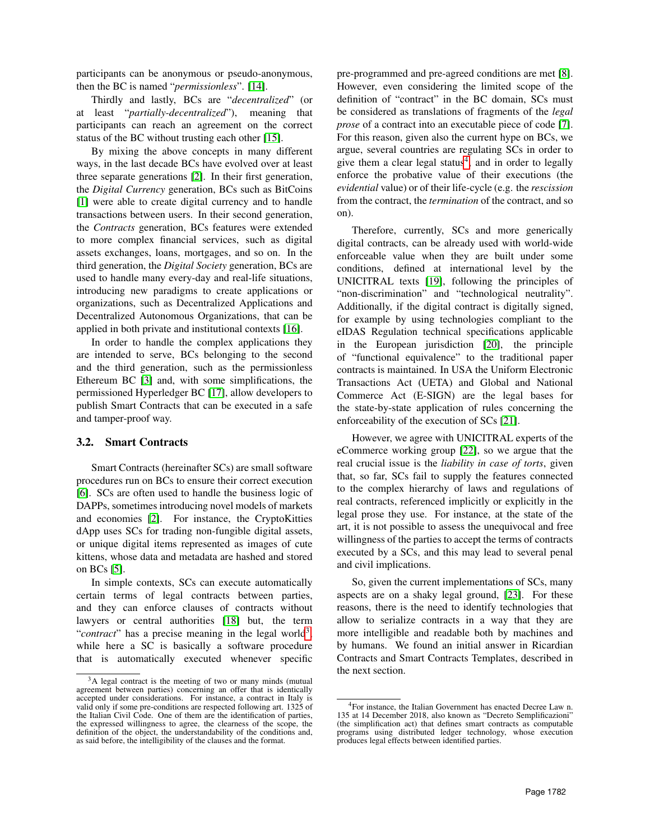participants can be anonymous or pseudo-anonymous, then the BC is named "*permissionless*". [\[14\]](#page-9-7).

Thirdly and lastly, BCs are "*decentralized*" (or at least "*partially-decentralized*"), meaning that participants can reach an agreement on the correct status of the BC without trusting each other [\[15\]](#page-9-8).

By mixing the above concepts in many different ways, in the last decade BCs have evolved over at least three separate generations [\[2\]](#page-8-1). In their first generation, the *Digital Currency* generation, BCs such as BitCoins [\[1\]](#page-8-0) were able to create digital currency and to handle transactions between users. In their second generation, the *Contracts* generation, BCs features were extended to more complex financial services, such as digital assets exchanges, loans, mortgages, and so on. In the third generation, the *Digital Society* generation, BCs are used to handle many every-day and real-life situations, introducing new paradigms to create applications or organizations, such as Decentralized Applications and Decentralized Autonomous Organizations, that can be applied in both private and institutional contexts [\[16\]](#page-9-9).

In order to handle the complex applications they are intended to serve, BCs belonging to the second and the third generation, such as the permissionless Ethereum BC [\[3\]](#page-8-2) and, with some simplifications, the permissioned Hyperledger BC [\[17\]](#page-9-10), allow developers to publish Smart Contracts that can be executed in a safe and tamper-proof way.

### 3.2. Smart Contracts

Smart Contracts (hereinafter SCs) are small software procedures run on BCs to ensure their correct execution [\[6\]](#page-8-5). SCs are often used to handle the business logic of DAPPs, sometimes introducing novel models of markets and economies [\[2\]](#page-8-1). For instance, the CryptoKitties dApp uses SCs for trading non-fungible digital assets, or unique digital items represented as images of cute kittens, whose data and metadata are hashed and stored on BCs [\[5\]](#page-8-4).

In simple contexts, SCs can execute automatically certain terms of legal contracts between parties, and they can enforce clauses of contracts without lawyers or central authorities [\[18\]](#page-9-11) but, the term "*contract*" has a precise meaning in the legal world<sup>[3](#page-2-0)</sup>, while here a SC is basically a software procedure that is automatically executed whenever specific

pre-programmed and pre-agreed conditions are met [\[8\]](#page-9-1). However, even considering the limited scope of the definition of "contract" in the BC domain, SCs must be considered as translations of fragments of the *legal prose* of a contract into an executable piece of code [\[7\]](#page-9-0). For this reason, given also the current hype on BCs, we argue, several countries are regulating SCs in order to give them a clear legal status<sup>[4](#page-2-1)</sup>, and in order to legally enforce the probative value of their executions (the *evidential* value) or of their life-cycle (e.g. the *rescission* from the contract, the *termination* of the contract, and so on).

Therefore, currently, SCs and more generically digital contracts, can be already used with world-wide enforceable value when they are built under some conditions, defined at international level by the UNICITRAL texts [\[19\]](#page-9-12), following the principles of "non-discrimination" and "technological neutrality". Additionally, if the digital contract is digitally signed, for example by using technologies compliant to the eIDAS Regulation technical specifications applicable in the European jurisdiction [\[20\]](#page-9-13), the principle of "functional equivalence" to the traditional paper contracts is maintained. In USA the Uniform Electronic Transactions Act (UETA) and Global and National Commerce Act (E-SIGN) are the legal bases for the state-by-state application of rules concerning the enforceability of the execution of SCs [\[21\]](#page-9-14).

However, we agree with UNICITRAL experts of the eCommerce working group [\[22\]](#page-9-15), so we argue that the real crucial issue is the *liability in case of torts*, given that, so far, SCs fail to supply the features connected to the complex hierarchy of laws and regulations of real contracts, referenced implicitly or explicitly in the legal prose they use. For instance, at the state of the art, it is not possible to assess the unequivocal and free willingness of the parties to accept the terms of contracts executed by a SCs, and this may lead to several penal and civil implications.

So, given the current implementations of SCs, many aspects are on a shaky legal ground, [\[23\]](#page-9-16). For these reasons, there is the need to identify technologies that allow to serialize contracts in a way that they are more intelligible and readable both by machines and by humans. We found an initial answer in Ricardian Contracts and Smart Contracts Templates, described in the next section.

<span id="page-2-0"></span><sup>3</sup>A legal contract is the meeting of two or many minds (mutual agreement between parties) concerning an offer that is identically accepted under considerations. For instance, a contract in Italy is valid only if some pre-conditions are respected following art. 1325 of the Italian Civil Code. One of them are the identification of parties, the expressed willingness to agree, the clearness of the scope, the definition of the object, the understandability of the conditions and, as said before, the intelligibility of the clauses and the format.

<span id="page-2-1"></span><sup>4</sup>For instance, the Italian Government has enacted Decree Law n. 135 at 14 December 2018, also known as "Decreto Semplificazioni" (the simplification act) that defines smart contracts as computable programs using distributed ledger technology, whose execution produces legal effects between identified parties.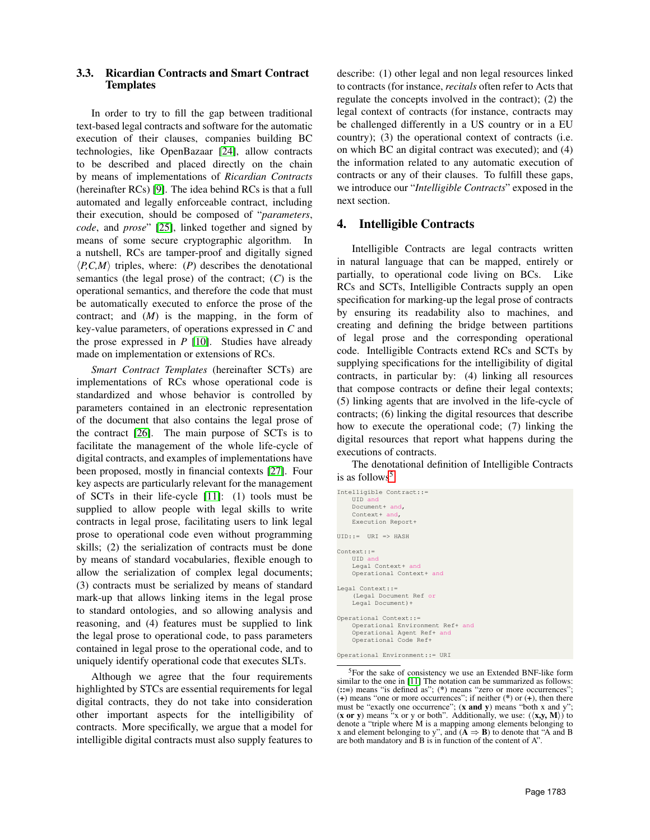## 3.3. Ricardian Contracts and Smart Contract Templates

In order to try to fill the gap between traditional text-based legal contracts and software for the automatic execution of their clauses, companies building BC technologies, like OpenBazaar [\[24\]](#page-9-17), allow contracts to be described and placed directly on the chain by means of implementations of *Ricardian Contracts* (hereinafter RCs) [\[9\]](#page-9-2). The idea behind RCs is that a full automated and legally enforceable contract, including their execution, should be composed of "*parameters*, *code*, and *prose*" [\[25\]](#page-9-18), linked together and signed by means of some secure cryptographic algorithm. In a nutshell, RCs are tamper-proof and digitally signed  $\langle P, C, M \rangle$  triples, where: (*P*) describes the denotational semantics (the legal prose) of the contract; (*C*) is the operational semantics, and therefore the code that must be automatically executed to enforce the prose of the contract; and (*M*) is the mapping, in the form of key-value parameters, of operations expressed in *C* and the prose expressed in *P* [\[10\]](#page-9-3). Studies have already made on implementation or extensions of RCs.

*Smart Contract Templates* (hereinafter SCTs) are implementations of RCs whose operational code is standardized and whose behavior is controlled by parameters contained in an electronic representation of the document that also contains the legal prose of the contract [\[26\]](#page-9-19). The main purpose of SCTs is to facilitate the management of the whole life-cycle of digital contracts, and examples of implementations have been proposed, mostly in financial contexts [\[27\]](#page-9-20). Four key aspects are particularly relevant for the management of SCTs in their life-cycle [\[11\]](#page-9-4): (1) tools must be supplied to allow people with legal skills to write contracts in legal prose, facilitating users to link legal prose to operational code even without programming skills; (2) the serialization of contracts must be done by means of standard vocabularies, flexible enough to allow the serialization of complex legal documents; (3) contracts must be serialized by means of standard mark-up that allows linking items in the legal prose to standard ontologies, and so allowing analysis and reasoning, and (4) features must be supplied to link the legal prose to operational code, to pass parameters contained in legal prose to the operational code, and to uniquely identify operational code that executes SLTs.

Although we agree that the four requirements highlighted by STCs are essential requirements for legal digital contracts, they do not take into consideration other important aspects for the intelligibility of contracts. More specifically, we argue that a model for intelligible digital contracts must also supply features to

describe: (1) other legal and non legal resources linked to contracts (for instance, *recitals* often refer to Acts that regulate the concepts involved in the contract); (2) the legal context of contracts (for instance, contracts may be challenged differently in a US country or in a EU country); (3) the operational context of contracts (i.e. on which BC an digital contract was executed); and (4) the information related to any automatic execution of contracts or any of their clauses. To fulfill these gaps, we introduce our "*Intelligible Contracts*" exposed in the next section.

## 4. Intelligible Contracts

Intelligible Contracts are legal contracts written in natural language that can be mapped, entirely or partially, to operational code living on BCs. Like RCs and SCTs, Intelligible Contracts supply an open specification for marking-up the legal prose of contracts by ensuring its readability also to machines, and creating and defining the bridge between partitions of legal prose and the corresponding operational code. Intelligible Contracts extend RCs and SCTs by supplying specifications for the intelligibility of digital contracts, in particular by: (4) linking all resources that compose contracts or define their legal contexts; (5) linking agents that are involved in the life-cycle of contracts; (6) linking the digital resources that describe how to execute the operational code; (7) linking the digital resources that report what happens during the executions of contracts.

The denotational definition of Intelligible Contracts is as follows<sup>[5](#page-3-0)</sup>:

```
Intelligible Contract::=
    UID and
Document+ and,
    Context+ and,
    Execution Report+
UID::= URI \Rightarrow HASHContext::=
    UID and
    Legal Context+ and
    Operational Context+ and
Legal Context::=
    (Legal Document Ref or
    Legal Document)+
Operational Context::=
    Operational Environment Ref+ and
    Operational Agent Ref+ and
    Operational Code Ref+
```
Operational Environment::= URI

<span id="page-3-0"></span><sup>5</sup>For the sake of consistency we use an Extended BNF-like form similar to the one in [\[11\]](#page-9-4) The notation can be summarized as follows: (::=) means "is defined as"; (\*) means "zero or more occurrences"; (+) means "one or more occurrences"; if neither (\*) or (+), then there must be "exactly one occurrence"; (x and y) means "both x and y"; (x or y) means "x or y or both". Additionally, we use:  $(\langle x,y, M \rangle)$  to denote a "triple where M is a mapping among elements belonging to x and element belonging to y", and  $(\overrightarrow{A} \Rightarrow \overrightarrow{B})$  to denote that "A and B are both mandatory and B is in function of the content of A".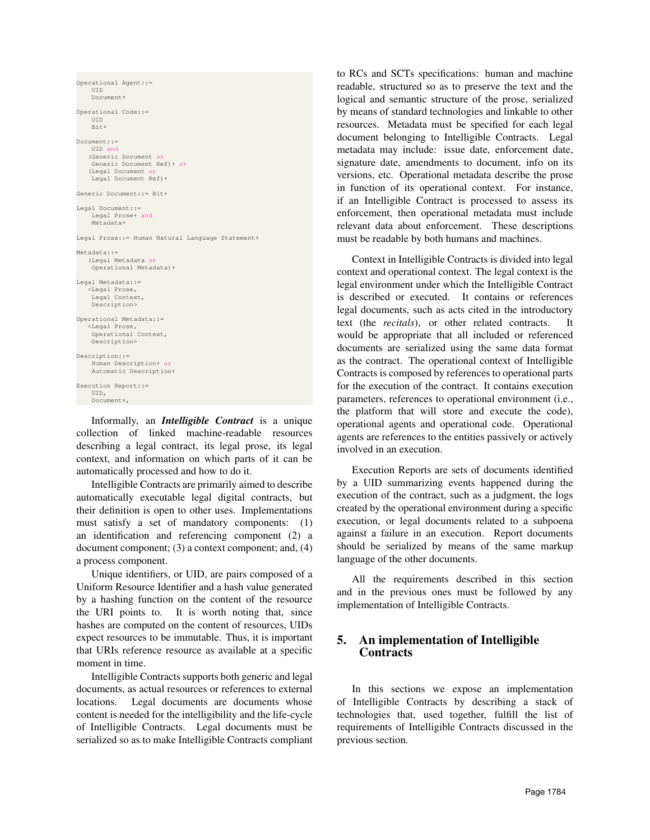```
Operational Agent::=
    UID
    Document+
Operational Code::=
    UID
    Bit+
Document::=
    UID and
   (Generic Document or
    Generic Document Ref)+ or
   (Legal Document or
    Legal Document Ref)+
Generic Document::= Bit+
Legal Document::=
    Legal Prose+ and
    Metadata+
Legal Prose::= Human Natural Language Statement+
Metadata::=
   (Legal Metadata or
    Operational Metadata)+
Legal Metadata: =
   <Legal Prose,
    Legal Context,
   Description>
Operational Metadata::=
   <Legal Prose,
Operational Context,
    Description>
Description::=
    Human Description+ or
    Automatic Description+
Execution Report::=
    UID,
    Document+,
```
Informally, an *Intelligible Contract* is a unique collection of linked machine-readable resources describing a legal contract, its legal prose, its legal context, and information on which parts of it can be automatically processed and how to do it.

Intelligible Contracts are primarily aimed to describe automatically executable legal digital contracts, but their definition is open to other uses. Implementations must satisfy a set of mandatory components: (1) an identification and referencing component (2) a document component; (3) a context component; and, (4) a process component.

Unique identifiers, or UID, are pairs composed of a Uniform Resource Identifier and a hash value generated by a hashing function on the content of the resource the URI points to. It is worth noting that, since hashes are computed on the content of resources, UIDs expect resources to be immutable. Thus, it is important that URIs reference resource as available at a specific moment in time.

Intelligible Contracts supports both generic and legal documents, as actual resources or references to external locations. Legal documents are documents whose content is needed for the intelligibility and the life-cycle of Intelligible Contracts. Legal documents must be serialized so as to make Intelligible Contracts compliant to RCs and SCTs specifications: human and machine readable, structured so as to preserve the text and the logical and semantic structure of the prose, serialized by means of standard technologies and linkable to other resources. Metadata must be specified for each legal document belonging to Intelligible Contracts. Legal metadata may include: issue date, enforcement date, signature date, amendments to document, info on its versions, etc. Operational metadata describe the prose in function of its operational context. For instance, if an Intelligible Contract is processed to assess its enforcement, then operational metadata must include relevant data about enforcement. These descriptions must be readable by both humans and machines.

Context in Intelligible Contracts is divided into legal context and operational context. The legal context is the legal environment under which the Intelligible Contract is described or executed. It contains or references legal documents, such as acts cited in the introductory text (the *recitals*), or other related contracts. It would be appropriate that all included or referenced documents are serialized using the same data format as the contract. The operational context of Intelligible Contracts is composed by references to operational parts for the execution of the contract. It contains execution parameters, references to operational environment (i.e., the platform that will store and execute the code), operational agents and operational code. Operational agents are references to the entities passively or actively involved in an execution.

Execution Reports are sets of documents identified by a UID summarizing events happened during the execution of the contract, such as a judgment, the logs created by the operational environment during a specific execution, or legal documents related to a subpoena against a failure in an execution. Report documents should be serialized by means of the same markup language of the other documents.

All the requirements described in this section and in the previous ones must be followed by any implementation of Intelligible Contracts.

# 5. An implementation of Intelligible **Contracts**

In this sections we expose an implementation of Intelligible Contracts by describing a stack of technologies that, used together, fulfill the list of requirements of Intelligible Contracts discussed in the previous section.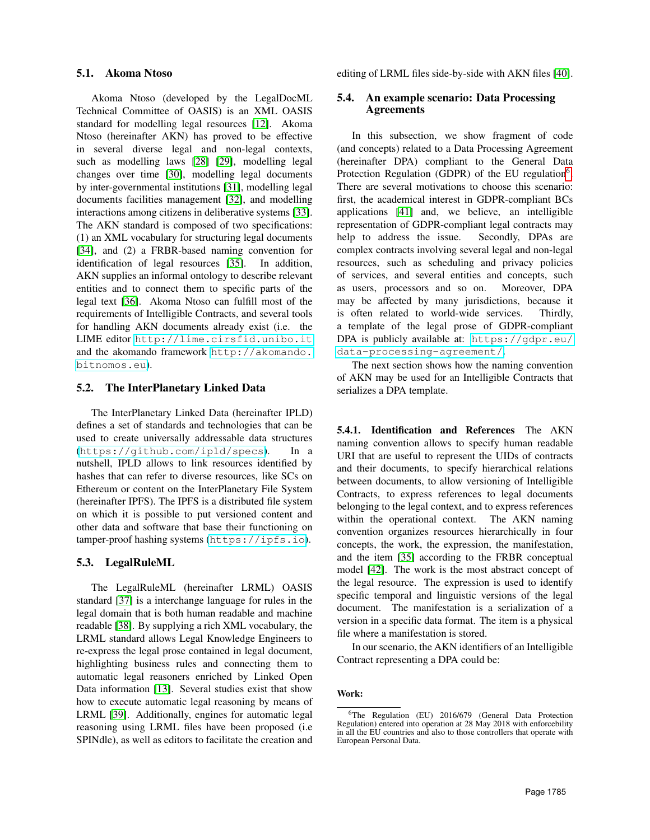#### 5.1. Akoma Ntoso

Akoma Ntoso (developed by the LegalDocML Technical Committee of OASIS) is an XML OASIS standard for modelling legal resources [\[12\]](#page-9-5). Akoma Ntoso (hereinafter AKN) has proved to be effective in several diverse legal and non-legal contexts, such as modelling laws [\[28\]](#page-9-21) [\[29\]](#page-9-22), modelling legal changes over time [\[30\]](#page-9-23), modelling legal documents by inter-governmental institutions [\[31\]](#page-9-24), modelling legal documents facilities management [\[32\]](#page-9-25), and modelling interactions among citizens in deliberative systems [\[33\]](#page-9-26). The AKN standard is composed of two specifications: (1) an XML vocabulary for structuring legal documents [\[34\]](#page-9-27), and (2) a FRBR-based naming convention for identification of legal resources [\[35\]](#page-9-28). In addition, AKN supplies an informal ontology to describe relevant entities and to connect them to specific parts of the legal text [\[36\]](#page-9-29). Akoma Ntoso can fulfill most of the requirements of Intelligible Contracts, and several tools for handling AKN documents already exist (i.e. the LIME editor <http://lime.cirsfid.unibo.it> and the akomando framework [http://akomando.](http://akomando.bitnomos.eu) [bitnomos.eu](http://akomando.bitnomos.eu)).

#### 5.2. The InterPlanetary Linked Data

The InterPlanetary Linked Data (hereinafter IPLD) defines a set of standards and technologies that can be used to create universally addressable data structures (<https://github.com/ipld/specs>). In a nutshell, IPLD allows to link resources identified by hashes that can refer to diverse resources, like SCs on Ethereum or content on the InterPlanetary File System (hereinafter IPFS). The IPFS is a distributed file system on which it is possible to put versioned content and other data and software that base their functioning on tamper-proof hashing systems (<https://ipfs.io>).

### 5.3. LegalRuleML

The LegalRuleML (hereinafter LRML) OASIS standard [\[37\]](#page-9-30) is a interchange language for rules in the legal domain that is both human readable and machine readable [\[38\]](#page-9-31). By supplying a rich XML vocabulary, the LRML standard allows Legal Knowledge Engineers to re-express the legal prose contained in legal document, highlighting business rules and connecting them to automatic legal reasoners enriched by Linked Open Data information [\[13\]](#page-9-6). Several studies exist that show how to execute automatic legal reasoning by means of LRML [\[39\]](#page-9-32). Additionally, engines for automatic legal reasoning using LRML files have been proposed (i.e SPINdle), as well as editors to facilitate the creation and

editing of LRML files side-by-side with AKN files [\[40\]](#page-9-33).

# 5.4. An example scenario: Data Processing Agreements

In this subsection, we show fragment of code (and concepts) related to a Data Processing Agreement (hereinafter DPA) compliant to the General Data Protection Regulation (GDPR) of the EU regulation<sup>[6](#page-5-0)</sup>. There are several motivations to choose this scenario: first, the academical interest in GDPR-compliant BCs applications [\[41\]](#page-9-34) and, we believe, an intelligible representation of GDPR-compliant legal contracts may help to address the issue. Secondly, DPAs are complex contracts involving several legal and non-legal resources, such as scheduling and privacy policies of services, and several entities and concepts, such as users, processors and so on. Moreover, DPA may be affected by many jurisdictions, because it is often related to world-wide services. Thirdly, a template of the legal prose of GDPR-compliant DPA is publicly available at: [https://gdpr.eu/](https://gdpr.eu/data-processing-agreement/) [data-processing-agreement/](https://gdpr.eu/data-processing-agreement/).

The next section shows how the naming convention of AKN may be used for an Intelligible Contracts that serializes a DPA template.

5.4.1. Identification and References The AKN naming convention allows to specify human readable URI that are useful to represent the UIDs of contracts and their documents, to specify hierarchical relations between documents, to allow versioning of Intelligible Contracts, to express references to legal documents belonging to the legal context, and to express references within the operational context. The AKN naming convention organizes resources hierarchically in four concepts, the work, the expression, the manifestation, and the item [\[35\]](#page-9-28) according to the FRBR conceptual model [\[42\]](#page-9-35). The work is the most abstract concept of the legal resource. The expression is used to identify specific temporal and linguistic versions of the legal document. The manifestation is a serialization of a version in a specific data format. The item is a physical file where a manifestation is stored.

In our scenario, the AKN identifiers of an Intelligible Contract representing a DPA could be:

#### Work:

<span id="page-5-0"></span><sup>6</sup>The Regulation (EU) 2016/679 (General Data Protection Regulation) entered into operation at 28 May 2018 with enforcebility in all the EU countries and also to those controllers that operate with European Personal Data.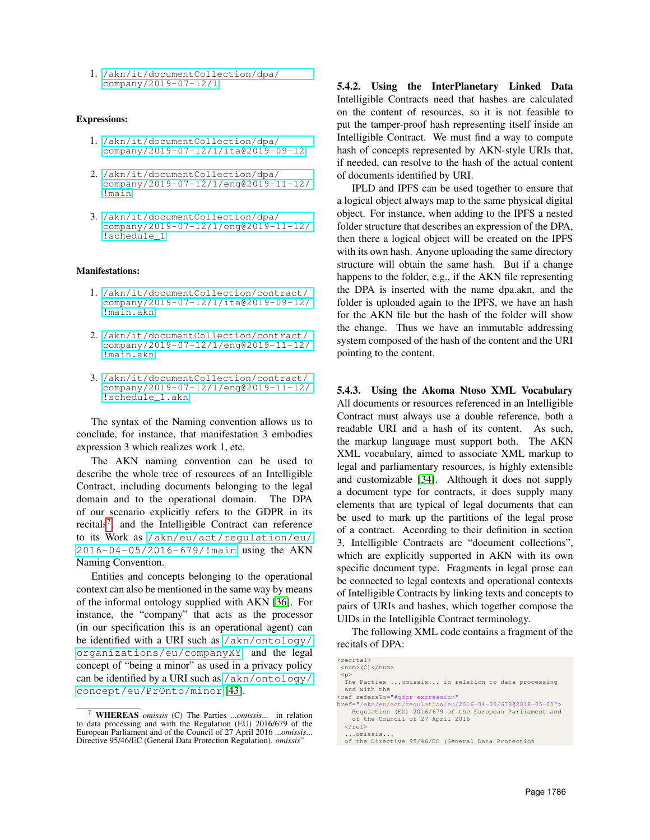1. [/akn/it/documentCollection/dpa/](/akn/it/documentCollection/dpa/company/2019-07-12/1) [company/2019-07-12/1](/akn/it/documentCollection/dpa/company/2019-07-12/1)

#### Expressions:

- 1. [/akn/it/documentCollection/dpa/](/akn/it/documentCollection/dpa/company/2019-07-12/1/ita@2019-09-12) [company/2019-07-12/1/ita@2019-09-12](/akn/it/documentCollection/dpa/company/2019-07-12/1/ita@2019-09-12)
- 2. [/akn/it/documentCollection/dpa/](/akn/it/documentCollection/dpa/company/2019-07-12/1/eng@2019-11-12/!main) [company/2019-07-12/1/eng@2019-11-12/](/akn/it/documentCollection/dpa/company/2019-07-12/1/eng@2019-11-12/!main) [!main](/akn/it/documentCollection/dpa/company/2019-07-12/1/eng@2019-11-12/!main)
- 3. [/akn/it/documentCollection/dpa/](/akn/it/documentCollection/dpa/company/2019-07-12/1/eng@2019-11-12/!schedule_1) [company/2019-07-12/1/eng@2019-11-12/](/akn/it/documentCollection/dpa/company/2019-07-12/1/eng@2019-11-12/!schedule_1) [!schedule\\_1](/akn/it/documentCollection/dpa/company/2019-07-12/1/eng@2019-11-12/!schedule_1)

#### Manifestations:

- 1. [/akn/it/documentCollection/contract/](/akn/it/documentCollection/contract/company/2019-07-12/1/ita@2019-09-12/!main.akn) [company/2019-07-12/1/ita@2019-09-12/](/akn/it/documentCollection/contract/company/2019-07-12/1/ita@2019-09-12/!main.akn) [!main.akn](/akn/it/documentCollection/contract/company/2019-07-12/1/ita@2019-09-12/!main.akn)
- 2. [/akn/it/documentCollection/contract/](/akn/it/documentCollection/contract/company/2019-07-12/1/eng@2019-11-12/!main.akn) [company/2019-07-12/1/eng@2019-11-12/](/akn/it/documentCollection/contract/company/2019-07-12/1/eng@2019-11-12/!main.akn) [!main.akn](/akn/it/documentCollection/contract/company/2019-07-12/1/eng@2019-11-12/!main.akn)
- 3. [/akn/it/documentCollection/contract/](/akn/it/documentCollection/contract/company/2019-07-12/1/eng@2019-11-12/!schedule_1.akn) [company/2019-07-12/1/eng@2019-11-12/](/akn/it/documentCollection/contract/company/2019-07-12/1/eng@2019-11-12/!schedule_1.akn) [!schedule\\_1.akn](/akn/it/documentCollection/contract/company/2019-07-12/1/eng@2019-11-12/!schedule_1.akn)

The syntax of the Naming convention allows us to conclude, for instance, that manifestation 3 embodies expression 3 which realizes work 1, etc.

The AKN naming convention can be used to describe the whole tree of resources of an Intelligible Contract, including documents belonging to the legal domain and to the operational domain. The DPA of our scenario explicitly refers to the GDPR in its recitals<sup>[7](#page-6-0)</sup>, and the Intelligible Contract can reference to its Work as [/akn/eu/act/regulation/eu/](/akn/eu/act/regulation/eu/2016-04-05/2016-679/!main) [2016-04-05/2016-679/!main](/akn/eu/act/regulation/eu/2016-04-05/2016-679/!main) using the AKN Naming Convention.

Entities and concepts belonging to the operational context can also be mentioned in the same way by means of the informal ontology supplied with AKN [\[36\]](#page-9-29). For instance, the "company" that acts as the processor (in our specification this is an operational agent) can be identified with a URI such as [/akn/ontology/](/akn/ontology/organizations/eu/companyXY) [organizations/eu/companyXY](/akn/ontology/organizations/eu/companyXY), and the legal concept of "being a minor" as used in a privacy policy can be identified by a URI such as [/akn/ontology/](/akn/ontology/concept/eu/PrOnto/minor) [concept/eu/PrOnto/minor](/akn/ontology/concept/eu/PrOnto/minor) [\[43\]](#page-9-36).

5.4.2. Using the InterPlanetary Linked Data Intelligible Contracts need that hashes are calculated on the content of resources, so it is not feasible to put the tamper-proof hash representing itself inside an Intelligible Contract. We must find a way to compute hash of concepts represented by AKN-style URIs that, if needed, can resolve to the hash of the actual content of documents identified by URI.

IPLD and IPFS can be used together to ensure that a logical object always map to the same physical digital object. For instance, when adding to the IPFS a nested folder structure that describes an expression of the DPA, then there a logical object will be created on the IPFS with its own hash. Anyone uploading the same directory structure will obtain the same hash. But if a change happens to the folder, e.g., if the AKN file representing the DPA is inserted with the name dpa.akn, and the folder is uploaded again to the IPFS, we have an hash for the AKN file but the hash of the folder will show the change. Thus we have an immutable addressing system composed of the hash of the content and the URI pointing to the content.

5.4.3. Using the Akoma Ntoso XML Vocabulary All documents or resources referenced in an Intelligible Contract must always use a double reference, both a readable URI and a hash of its content. As such, the markup language must support both. The AKN XML vocabulary, aimed to associate XML markup to legal and parliamentary resources, is highly extensible and customizable [\[34\]](#page-9-27). Although it does not supply a document type for contracts, it does supply many elements that are typical of legal documents that can be used to mark up the partitions of the legal prose of a contract. According to their definition in section 3, Intelligible Contracts are "document collections", which are explicitly supported in AKN with its own specific document type. Fragments in legal prose can be connected to legal contexts and operational contexts of Intelligible Contracts by linking texts and concepts to pairs of URIs and hashes, which together compose the UIDs in the Intelligible Contract terminology.

The following XML code contains a fragment of the recitals of DPA:

| $<$ recital>                                                |
|-------------------------------------------------------------|
| $<$ num $>(C)$ $<$ /num $>$                                 |
| < p                                                         |
| The Parties  omissis in relation to data processing         |
| and with the                                                |
| <ref <="" refersto="#qdpr-expression" td=""></ref>          |
| href="/akn/eu/act/requlation/eu/2016-04-05/67902018-05-25"> |
| Requlation (EU) 2016/679 of the European Parliament and     |
| of the Council of 27 April 2016                             |
| $\langle$ /ref>                                             |
| omissis                                                     |
| of the Directive 95/46/EC (General Data Protection          |
|                                                             |

<span id="page-6-0"></span><sup>7</sup> WHEREAS *omissis* (C) The Parties ...*omissis*... in relation to data processing and with the Regulation (EU) 2016/679 of the European Parliament and of the Council of 27 April 2016 ...*omissis*... Directive 95/46/EC (General Data Protection Regulation). *omissis*"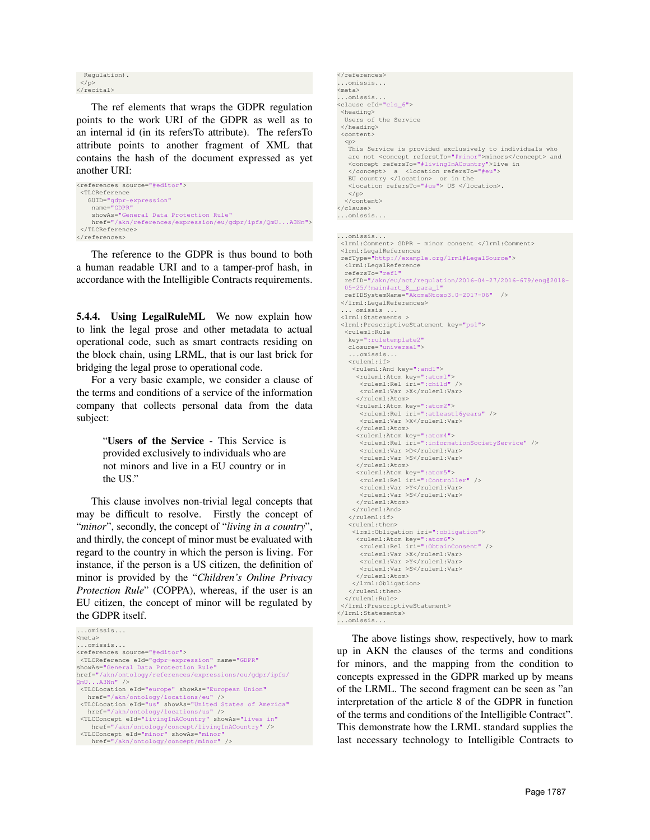Regulation).  $\langle$ /p> </recital>

The ref elements that wraps the GDPR regulation points to the work URI of the GDPR as well as to an internal id (in its refersTo attribute). The refersTo attribute points to another fragment of XML that contains the hash of the document expressed as yet another URI:

```
<references source="#editor">
<TLCReference
  GUID="gdpr-expression"
   name="GDPR"
    showAs="General Data Protection Rule"
   href="/akn/references/expression/eu/gdpr/ipfs/QmU...A3Nn">
</TLCReference>
</references>
```
The reference to the GDPR is thus bound to both a human readable URI and to a tamper-prof hash, in accordance with the Intelligible Contracts requirements.

5.4.4. Using LegalRuleML We now explain how to link the legal prose and other metadata to actual operational code, such as smart contracts residing on the block chain, using LRML, that is our last brick for bridging the legal prose to operational code.

For a very basic example, we consider a clause of the terms and conditions of a service of the information company that collects personal data from the data subject:

> "Users of the Service - This Service is provided exclusively to individuals who are not minors and live in a EU country or in the US."

This clause involves non-trivial legal concepts that may be difficult to resolve. Firstly the concept of "*minor*", secondly, the concept of "*living in a country*", and thirdly, the concept of minor must be evaluated with regard to the country in which the person is living. For instance, if the person is a US citizen, the definition of minor is provided by the "*Children's Online Privacy Protection Rule*" (COPPA), whereas, if the user is an EU citizen, the concept of minor will be regulated by the GDPR itself.



```
</references>
...omissis...
<meta>
...omissis...
<clause eId="cls_6">
<heading>
  Users of the Service
 </heading>
 <content>
  <p>
   This Service is provided exclusively to individuals who
   are not <concept referstTo="#minor">minors</concept> and
   <concept refersTo="#livingInACountry">live in
   </concept> a <location refersTo="#eu">
EU country </location> or in the
   <location refersTo="#us"> US </location>.
   \langle/p>
  </content>
</clause>
...omissis...
```
#### ...omissis...

```
<lrml:Comment> GDPR - minor consent </lrml:Comment>
 <lrml:LegalReferences
 refType="http://example.org/lrml#LegalSource">
  <lrml:LegalReference
  refersTo="ref1"
  refID="/akn/eu/act/regulation/2016-04-27/2016-679/eng@2018-
  05-25/!main#art_8__para_1"
  refIDSystemName="AkomaNtoso3.0-2017-06" />
</lrml:LegalReferences>
 ... omissis ...
 <lrml:Statements >
 <lrml:PrescriptiveStatement key="ps1">
  <ruleml:Rule
   key=":ruletemplate2"
  closure="universal">
   ...omissis...
<ruleml:if>
    <ruleml:And key=":and1">
     <ruleml:Atom key=":atom1">
<ruleml:Rel iri=":child" />
      <ruleml:Var >X</ruleml:Var>
     \langle/ruleml:Atom>
     <ruleml:Atom key=":atom2">
      <ruleml:Rel iri=":atLeast16years" />
      <ruleml:Var >X</ruleml:Var>
     </ruleml:Atom>
     <ruleml:Atom key=":atom4">
      <ruleml:Rel iri=":informationSocietyService" />
      <ruleml:Var >D</ruleml:Var>
      <ruleml:Var >S</ruleml:Var>
     </ruleml:Atom>
     <ruleml:Atom key=":atom5">
      <ruleml:Rel iri=":Controller" />
      <ruleml:Var >Y</ruleml:Var>
      <ruleml:Var >S</ruleml:Var>
     </ruleml:Atom>
    </ruleml:And>
   \langle/ruleml:if>
   <ruleml:then>
    <lrml:Obligation iri=":obligation">
     <ruleml:Atom key=":atom6">
<ruleml:Rel iri=":ObtainConsent" />
      <ruleml:Var >X</ruleml:Var>
      <ruleml:Var >Y</ruleml:Var>
      <ruleml:Var >S</ruleml:Var>
     </ruleml:Atom>
    </lrml:Obligation>
   </ruleml:then>
  </ruleml:Rule>
</lrml:PrescriptiveStatement>
</lrml:Statements>
...omissis...
```
The above listings show, respectively, how to mark up in AKN the clauses of the terms and conditions for minors, and the mapping from the condition to concepts expressed in the GDPR marked up by means of the LRML. The second fragment can be seen as "an interpretation of the article 8 of the GDPR in function of the terms and conditions of the Intelligible Contract". This demonstrate how the LRML standard supplies the last necessary technology to Intelligible Contracts to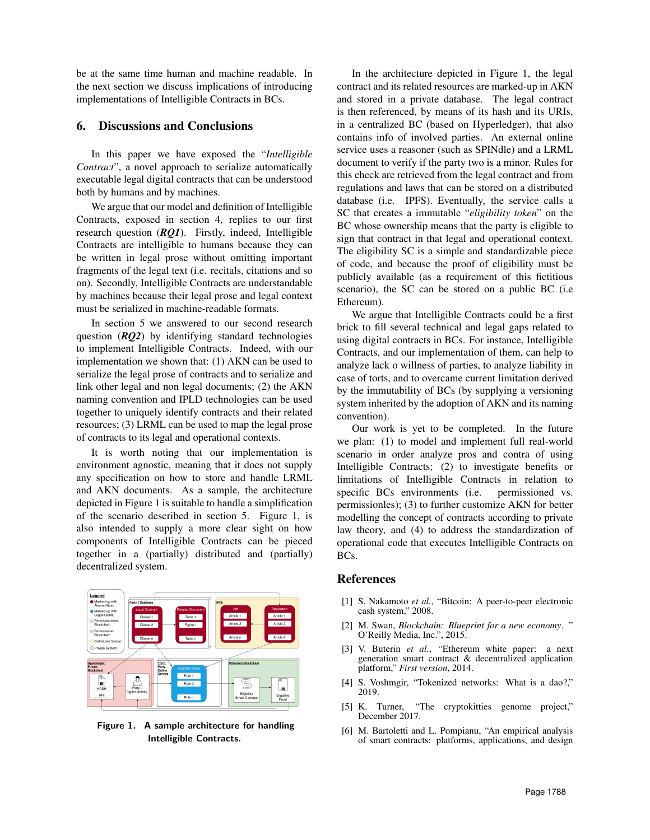be at the same time human and machine readable. In the next section we discuss implications of introducing implementations of Intelligible Contracts in BCs.

## 6. Discussions and Conclusions

In this paper we have exposed the "*Intelligible Contract*", a novel approach to serialize automatically executable legal digital contracts that can be understood both by humans and by machines.

We argue that our model and definition of Intelligible Contracts, exposed in section 4, replies to our first research question (*RQ1*). Firstly, indeed, Intelligible Contracts are intelligible to humans because they can be written in legal prose without omitting important fragments of the legal text (i.e. recitals, citations and so on). Secondly, Intelligible Contracts are understandable by machines because their legal prose and legal context must be serialized in machine-readable formats.

In section 5 we answered to our second research question (*RQ2*) by identifying standard technologies to implement Intelligible Contracts. Indeed, with our implementation we shown that: (1) AKN can be used to serialize the legal prose of contracts and to serialize and link other legal and non legal documents; (2) the AKN naming convention and IPLD technologies can be used together to uniquely identify contracts and their related resources; (3) LRML can be used to map the legal prose of contracts to its legal and operational contexts.

It is worth noting that our implementation is environment agnostic, meaning that it does not supply any specification on how to store and handle LRML and AKN documents. As a sample, the architecture depicted in Figure 1 is suitable to handle a simplification of the scenario described in section 5. Figure 1, is also intended to supply a more clear sight on how components of Intelligible Contracts can be pieced together in a (partially) distributed and (partially) decentralized system.



Figure 1. A sample architecture for handling Intelligible Contracts.

In the architecture depicted in Figure 1, the legal contract and its related resources are marked-up in AKN and stored in a private database. The legal contract is then referenced, by means of its hash and its URIs, in a centralized BC (based on Hyperledger), that also contains info of involved parties. An external online service uses a reasoner (such as SPINdle) and a LRML document to verify if the party two is a minor. Rules for this check are retrieved from the legal contract and from regulations and laws that can be stored on a distributed database (i.e. IPFS). Eventually, the service calls a SC that creates a immutable "*eligibility token*" on the BC whose ownership means that the party is eligible to sign that contract in that legal and operational context. The eligibility SC is a simple and standardizable piece of code, and because the proof of eligibility must be publicly available (as a requirement of this fictitious scenario), the SC can be stored on a public BC (i.e Ethereum).

We argue that Intelligible Contracts could be a first brick to fill several technical and legal gaps related to using digital contracts in BCs. For instance, Intelligible Contracts, and our implementation of them, can help to analyze lack o willness of parties, to analyze liability in case of torts, and to overcame current limitation derived by the immutability of BCs (by supplying a versioning system inherited by the adoption of AKN and its naming convention).

Our work is yet to be completed. In the future we plan: (1) to model and implement full real-world scenario in order analyze pros and contra of using Intelligible Contracts; (2) to investigate benefits or limitations of Intelligible Contracts in relation to specific BCs environments (i.e. permissioned vs. permissionles); (3) to further customize AKN for better modelling the concept of contracts according to private law theory, and (4) to address the standardization of operational code that executes Intelligible Contracts on BCs.

# **References**

- <span id="page-8-0"></span>[1] S. Nakamoto *et al.*, "Bitcoin: A peer-to-peer electronic cash system," 2008.
- <span id="page-8-1"></span>[2] M. Swan, *Blockchain: Blueprint for a new economy*. " O'Reilly Media, Inc.", 2015.
- <span id="page-8-2"></span>[3] V. Buterin *et al.*, "Ethereum white paper: a next generation smart contract & decentralized application platform," *First version*, 2014.
- <span id="page-8-3"></span>[4] S. Voshmgir, "Tokenized networks: What is a dao?," 2019.
- <span id="page-8-4"></span>[5] K. Turner, "The cryptokitties genome project," December 2017.
- <span id="page-8-5"></span>[6] M. Bartoletti and L. Pompianu, "An empirical analysis of smart contracts: platforms, applications, and design